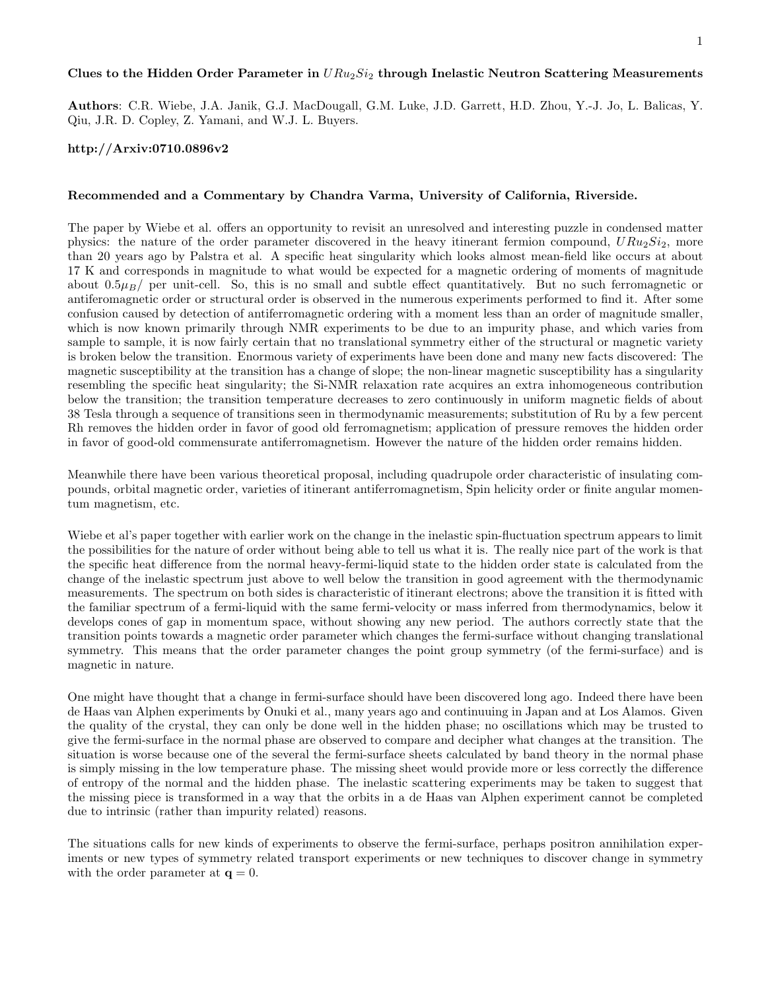## Clues to the Hidden Order Parameter in  $URu_2Si_2$  through Inelastic Neutron Scattering Measurements

Authors: C.R. Wiebe, J.A. Janik, G.J. MacDougall, G.M. Luke, J.D. Garrett, H.D. Zhou, Y.-J. Jo, L. Balicas, Y. Qiu, J.R. D. Copley, Z. Yamani, and W.J. L. Buyers.

## http://Arxiv:0710.0896v2

## Recommended and a Commentary by Chandra Varma, University of California, Riverside.

The paper by Wiebe et al. offers an opportunity to revisit an unresolved and interesting puzzle in condensed matter physics: the nature of the order parameter discovered in the heavy itinerant fermion compound,  $URu_2Si_2$ , more than 20 years ago by Palstra et al. A specific heat singularity which looks almost mean-field like occurs at about 17 K and corresponds in magnitude to what would be expected for a magnetic ordering of moments of magnitude about  $0.5\mu_B$ / per unit-cell. So, this is no small and subtle effect quantitatively. But no such ferromagnetic or antiferomagnetic order or structural order is observed in the numerous experiments performed to find it. After some confusion caused by detection of antiferromagnetic ordering with a moment less than an order of magnitude smaller, which is now known primarily through NMR experiments to be due to an impurity phase, and which varies from sample to sample, it is now fairly certain that no translational symmetry either of the structural or magnetic variety is broken below the transition. Enormous variety of experiments have been done and many new facts discovered: The magnetic susceptibility at the transition has a change of slope; the non-linear magnetic susceptibility has a singularity resembling the specific heat singularity; the Si-NMR relaxation rate acquires an extra inhomogeneous contribution below the transition; the transition temperature decreases to zero continuously in uniform magnetic fields of about 38 Tesla through a sequence of transitions seen in thermodynamic measurements; substitution of Ru by a few percent Rh removes the hidden order in favor of good old ferromagnetism; application of pressure removes the hidden order in favor of good-old commensurate antiferromagnetism. However the nature of the hidden order remains hidden.

Meanwhile there have been various theoretical proposal, including quadrupole order characteristic of insulating compounds, orbital magnetic order, varieties of itinerant antiferromagnetism, Spin helicity order or finite angular momentum magnetism, etc.

Wiebe et al's paper together with earlier work on the change in the inelastic spin-fluctuation spectrum appears to limit the possibilities for the nature of order without being able to tell us what it is. The really nice part of the work is that the specific heat difference from the normal heavy-fermi-liquid state to the hidden order state is calculated from the change of the inelastic spectrum just above to well below the transition in good agreement with the thermodynamic measurements. The spectrum on both sides is characteristic of itinerant electrons; above the transition it is fitted with the familiar spectrum of a fermi-liquid with the same fermi-velocity or mass inferred from thermodynamics, below it develops cones of gap in momentum space, without showing any new period. The authors correctly state that the transition points towards a magnetic order parameter which changes the fermi-surface without changing translational symmetry. This means that the order parameter changes the point group symmetry (of the fermi-surface) and is magnetic in nature.

One might have thought that a change in fermi-surface should have been discovered long ago. Indeed there have been de Haas van Alphen experiments by Onuki et al., many years ago and continuuing in Japan and at Los Alamos. Given the quality of the crystal, they can only be done well in the hidden phase; no oscillations which may be trusted to give the fermi-surface in the normal phase are observed to compare and decipher what changes at the transition. The situation is worse because one of the several the fermi-surface sheets calculated by band theory in the normal phase is simply missing in the low temperature phase. The missing sheet would provide more or less correctly the difference of entropy of the normal and the hidden phase. The inelastic scattering experiments may be taken to suggest that the missing piece is transformed in a way that the orbits in a de Haas van Alphen experiment cannot be completed due to intrinsic (rather than impurity related) reasons.

The situations calls for new kinds of experiments to observe the fermi-surface, perhaps positron annihilation experiments or new types of symmetry related transport experiments or new techniques to discover change in symmetry with the order parameter at  $q = 0$ .